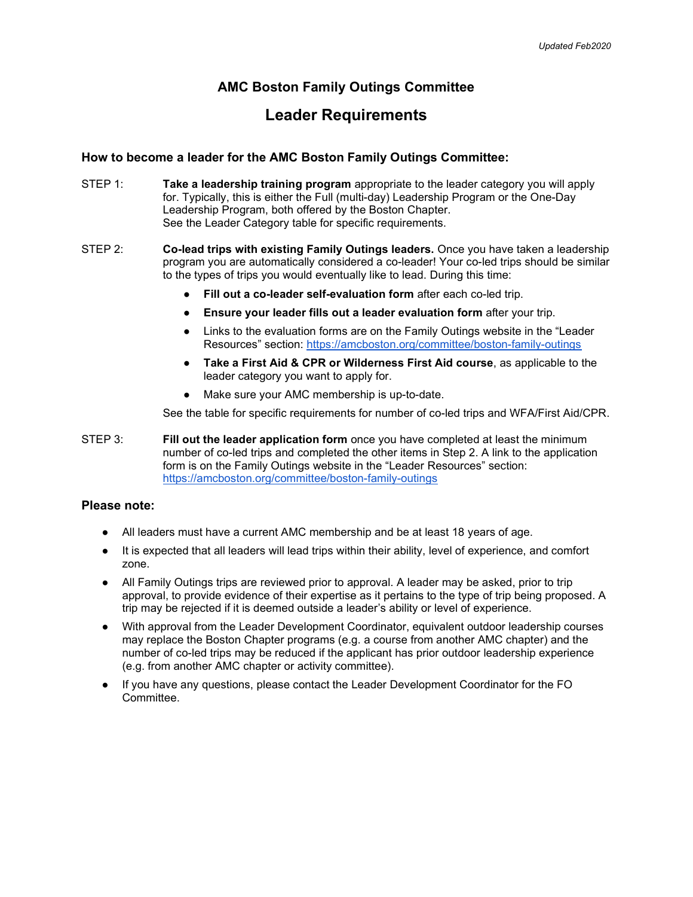# AMC Boston Family Outings Committee

# Leader Requirements

## How to become a leader for the AMC Boston Family Outings Committee:

- STEP 1: Take a leadership training program appropriate to the leader category you will apply for. Typically, this is either the Full (multi-day) Leadership Program or the One-Day Leadership Program, both offered by the Boston Chapter. See the Leader Category table for specific requirements.
- STEP 2: Co-lead trips with existing Family Outings leaders. Once you have taken a leadership program you are automatically considered a co-leader! Your co-led trips should be similar to the types of trips you would eventually like to lead. During this time:
	- Fill out a co-leader self-evaluation form after each co-led trip.
	- Ensure your leader fills out a leader evaluation form after your trip.
	- Links to the evaluation forms are on the Family Outings website in the "Leader" Resources" section: https://amcboston.org/committee/boston-family-outings
	- Take a First Aid & CPR or Wilderness First Aid course, as applicable to the leader category you want to apply for.
	- Make sure your AMC membership is up-to-date.

See the table for specific requirements for number of co-led trips and WFA/First Aid/CPR.

STEP 3: Fill out the leader application form once you have completed at least the minimum number of co-led trips and completed the other items in Step 2. A link to the application form is on the Family Outings website in the "Leader Resources" section: https://amcboston.org/committee/boston-family-outings

## Please note:

- All leaders must have a current AMC membership and be at least 18 years of age.
- It is expected that all leaders will lead trips within their ability, level of experience, and comfort zone.
- All Family Outings trips are reviewed prior to approval. A leader may be asked, prior to trip approval, to provide evidence of their expertise as it pertains to the type of trip being proposed. A trip may be rejected if it is deemed outside a leader's ability or level of experience.
- With approval from the Leader Development Coordinator, equivalent outdoor leadership courses may replace the Boston Chapter programs (e.g. a course from another AMC chapter) and the number of co-led trips may be reduced if the applicant has prior outdoor leadership experience (e.g. from another AMC chapter or activity committee).
- If you have any questions, please contact the Leader Development Coordinator for the FO Committee.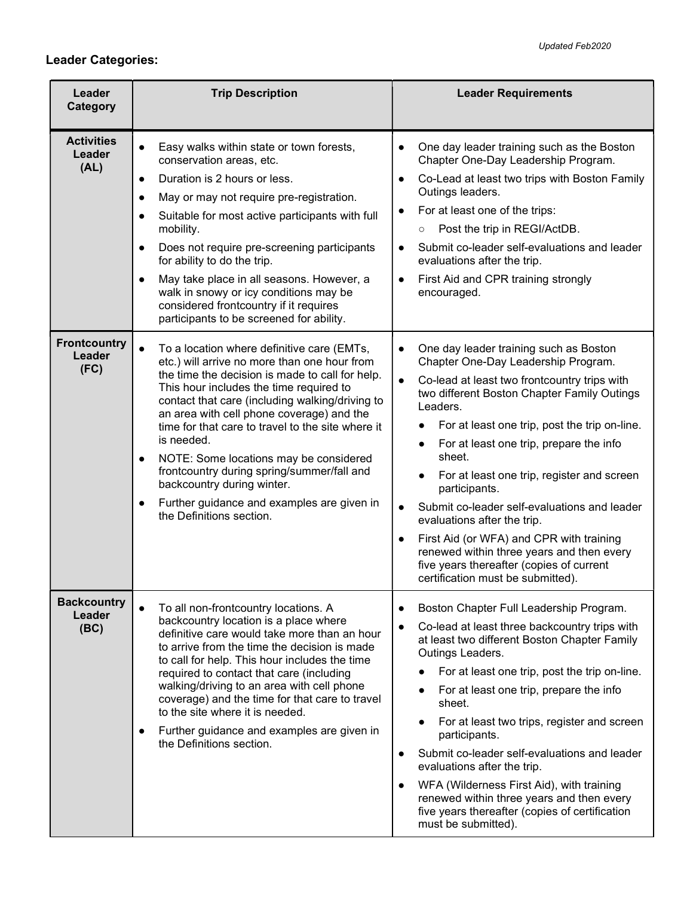# Leader Categories:

| Leader<br>Category                    | <b>Trip Description</b>                                                                                                                                                                                                                                                                                                                                                                                                                                                                                                                                                                            | <b>Leader Requirements</b>                                                                                                                                                                                                                                                                                                                                                                                                                                                                                                                                                                                                                                                 |
|---------------------------------------|----------------------------------------------------------------------------------------------------------------------------------------------------------------------------------------------------------------------------------------------------------------------------------------------------------------------------------------------------------------------------------------------------------------------------------------------------------------------------------------------------------------------------------------------------------------------------------------------------|----------------------------------------------------------------------------------------------------------------------------------------------------------------------------------------------------------------------------------------------------------------------------------------------------------------------------------------------------------------------------------------------------------------------------------------------------------------------------------------------------------------------------------------------------------------------------------------------------------------------------------------------------------------------------|
|                                       |                                                                                                                                                                                                                                                                                                                                                                                                                                                                                                                                                                                                    |                                                                                                                                                                                                                                                                                                                                                                                                                                                                                                                                                                                                                                                                            |
| <b>Activities</b><br>Leader<br>(AL)   | Easy walks within state or town forests,<br>$\bullet$<br>conservation areas, etc.<br>Duration is 2 hours or less.<br>$\bullet$<br>May or may not require pre-registration.<br>$\bullet$<br>Suitable for most active participants with full<br>$\bullet$<br>mobility.<br>Does not require pre-screening participants<br>$\bullet$<br>for ability to do the trip.<br>May take place in all seasons. However, a<br>$\bullet$<br>walk in snowy or icy conditions may be<br>considered frontcountry if it requires<br>participants to be screened for ability.                                          | One day leader training such as the Boston<br>$\bullet$<br>Chapter One-Day Leadership Program.<br>Co-Lead at least two trips with Boston Family<br>$\bullet$<br>Outings leaders.<br>For at least one of the trips:<br>Post the trip in REGI/ActDB.<br>$\circ$<br>Submit co-leader self-evaluations and leader<br>$\bullet$<br>evaluations after the trip.<br>First Aid and CPR training strongly<br>$\bullet$<br>encouraged.                                                                                                                                                                                                                                               |
| <b>Frontcountry</b><br>Leader<br>(FC) | To a location where definitive care (EMTs,<br>$\bullet$<br>etc.) will arrive no more than one hour from<br>the time the decision is made to call for help.<br>This hour includes the time required to<br>contact that care (including walking/driving to<br>an area with cell phone coverage) and the<br>time for that care to travel to the site where it<br>is needed.<br>NOTE: Some locations may be considered<br>$\bullet$<br>frontcountry during spring/summer/fall and<br>backcountry during winter.<br>Further guidance and examples are given in<br>$\bullet$<br>the Definitions section. | One day leader training such as Boston<br>$\bullet$<br>Chapter One-Day Leadership Program.<br>Co-lead at least two frontcountry trips with<br>two different Boston Chapter Family Outings<br>Leaders.<br>For at least one trip, post the trip on-line.<br>For at least one trip, prepare the info<br>$\bullet$<br>sheet.<br>For at least one trip, register and screen<br>participants.<br>Submit co-leader self-evaluations and leader<br>$\bullet$<br>evaluations after the trip.<br>First Aid (or WFA) and CPR with training<br>$\bullet$<br>renewed within three years and then every<br>five years thereafter (copies of current<br>certification must be submitted). |
| <b>Backcountry</b><br>Leader<br>(BC)  | To all non-frontcountry locations. A<br>$\bullet$<br>backcountry location is a place where<br>definitive care would take more than an hour<br>to arrive from the time the decision is made<br>to call for help. This hour includes the time<br>required to contact that care (including<br>walking/driving to an area with cell phone<br>coverage) and the time for that care to travel<br>to the site where it is needed.<br>Further guidance and examples are given in<br>$\bullet$<br>the Definitions section.                                                                                  | Boston Chapter Full Leadership Program.<br>$\bullet$<br>Co-lead at least three backcountry trips with<br>at least two different Boston Chapter Family<br>Outings Leaders.<br>For at least one trip, post the trip on-line.<br>For at least one trip, prepare the info<br>sheet.<br>For at least two trips, register and screen<br>participants.<br>Submit co-leader self-evaluations and leader<br>$\bullet$<br>evaluations after the trip.<br>WFA (Wilderness First Aid), with training<br>$\bullet$<br>renewed within three years and then every<br>five years thereafter (copies of certification<br>must be submitted).                                                |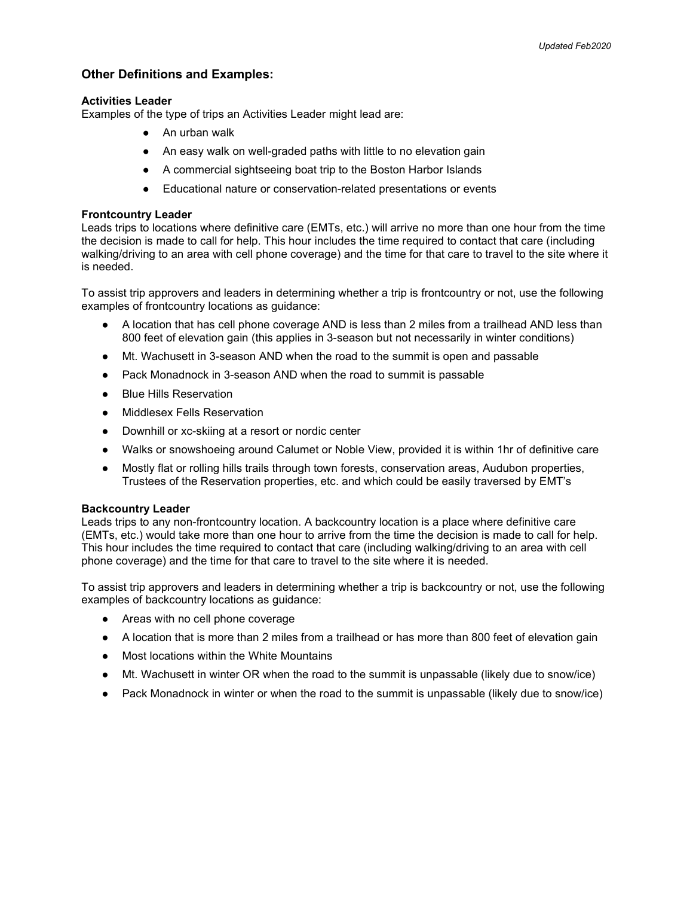## Other Definitions and Examples:

#### Activities Leader

Examples of the type of trips an Activities Leader might lead are:

- An urban walk
- An easy walk on well-graded paths with little to no elevation gain
- A commercial sightseeing boat trip to the Boston Harbor Islands
- Educational nature or conservation-related presentations or events

#### Frontcountry Leader

Leads trips to locations where definitive care (EMTs, etc.) will arrive no more than one hour from the time the decision is made to call for help. This hour includes the time required to contact that care (including walking/driving to an area with cell phone coverage) and the time for that care to travel to the site where it is needed.

To assist trip approvers and leaders in determining whether a trip is frontcountry or not, use the following examples of frontcountry locations as guidance:

- A location that has cell phone coverage AND is less than 2 miles from a trailhead AND less than 800 feet of elevation gain (this applies in 3-season but not necessarily in winter conditions)
- Mt. Wachusett in 3-season AND when the road to the summit is open and passable
- Pack Monadnock in 3-season AND when the road to summit is passable
- Blue Hills Reservation
- Middlesex Fells Reservation
- Downhill or xc-skiing at a resort or nordic center
- Walks or snowshoeing around Calumet or Noble View, provided it is within 1hr of definitive care
- Mostly flat or rolling hills trails through town forests, conservation areas, Audubon properties, Trustees of the Reservation properties, etc. and which could be easily traversed by EMT's

#### Backcountry Leader

Leads trips to any non-frontcountry location. A backcountry location is a place where definitive care (EMTs, etc.) would take more than one hour to arrive from the time the decision is made to call for help. This hour includes the time required to contact that care (including walking/driving to an area with cell phone coverage) and the time for that care to travel to the site where it is needed.

To assist trip approvers and leaders in determining whether a trip is backcountry or not, use the following examples of backcountry locations as guidance:

- Areas with no cell phone coverage
- A location that is more than 2 miles from a trailhead or has more than 800 feet of elevation gain
- Most locations within the White Mountains
- Mt. Wachusett in winter OR when the road to the summit is unpassable (likely due to snow/ice)
- Pack Monadnock in winter or when the road to the summit is unpassable (likely due to snow/ice)